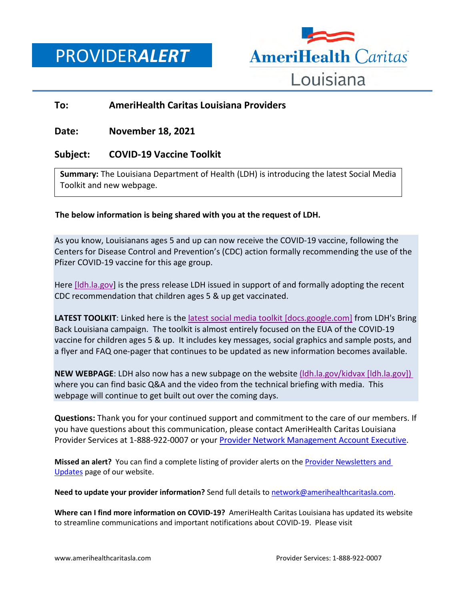PROVIDER*ALERT*



## **To: AmeriHealth Caritas Louisiana Providers**

## **Date: November 18, 2021**

## **Subject: COVID-19 Vaccine Toolkit**

**Summary:** The Louisiana Department of Health (LDH) is introducing the latest Social Media Toolkit and new webpage.

## **The below information is being shared with you at the request of LDH.**

As you know, Louisianans ages 5 and up can now receive the COVID-19 vaccine, following the Centers for Disease Control and Prevention's (CDC) action formally recommending the use of the Pfizer COVID-19 vaccine for this age group.

Here [\[ldh.la.gov\]](https://urldefense.com/v3/__https:/ldh.la.gov/index.cfm/newsroom/detail/6399__;!!E4aHFgIl6QUyrQ!snHIC_dfC_OLZrISc8yGmMMENgeNMJFFmn_df3uAJKvacphRdNLSIs69PfKsGh26LlyNozRgbA$) is the press release LDH issued in support of and formally adopting the recent CDC recommendation that children ages 5 & up get vaccinated.

**LATEST TOOLKIT:** Linked here is the [latest social media toolkit \[docs.google.com\]](https://urldefense.com/v3/__https:/docs.google.com/document/d/1rrqE-mALenu7TTmDc2I-ojqm3pfYPbOd/edit?usp=sharing&ouid=115845665246977123858&rtpof=true&sd=true__;!!E4aHFgIl6QUyrQ!snHIC_dfC_OLZrISc8yGmMMENgeNMJFFmn_df3uAJKvacphRdNLSIs69PfKsGh26LlwqEEWCpg$) from LDH's Bring Back Louisiana campaign. The toolkit is almost entirely focused on the EUA of the COVID-19 vaccine for children ages 5 & up. It includes key messages, social graphics and sample posts, and a flyer and FAQ one-pager that continues to be updated as new information becomes available.

**NEW WEBPAGE:** LDH also now has a new subpage on the website (Idh.la.gov/kidvax [Idh.la.gov]) where you can find basic Q&A and the video from the technical briefing with media. This webpage will continue to get built out over the coming days.

**Questions:** Thank you for your continued support and commitment to the care of our members. If you have questions about this communication, please contact AmeriHealth Caritas Louisiana Provider Services at 1-888-922-0007 or you[r Provider Network Management Account Executive.](http://www.amerihealthcaritasla.com/pdf/provider/account-executives.pdf)

**Missed an alert?** You can find a complete listing of provider alerts on th[e Provider Newsletters and](http://amerihealthcaritasla.com/provider/newsletters-and-updates)  [Updates](http://amerihealthcaritasla.com/provider/newsletters-and-updates) page of our website.

**Need to update your provider information?** Send full details to [network@amerihealthcaritasla.com.](file://nasfsu01/LAusers/kf20871/My%20Documents/network@amerihealthcaritasla.com)

**Where can I find more information on COVID-19?** AmeriHealth Caritas Louisiana has updated its website to streamline communications and important notifications about COVID-19. Please visit